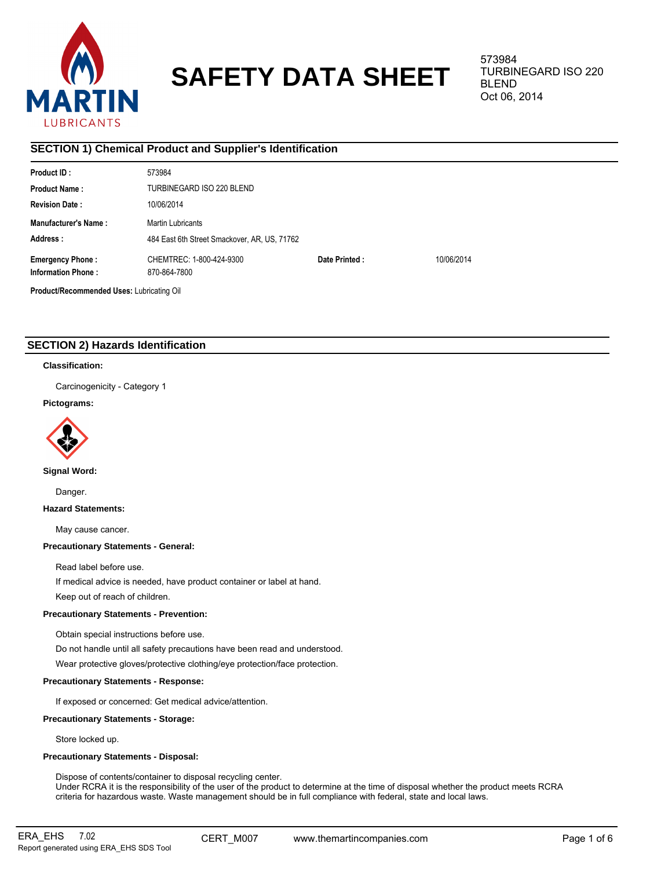

# **SAFETY DATA SHEET**

573984 TURBINEGARD ISO 220 BLEND Oct 06, 2014

# **SECTION 1) Chemical Product and Supplier's Identification**

| <b>Product ID:</b>                                   | 573984                                       |               |            |  |  |  |
|------------------------------------------------------|----------------------------------------------|---------------|------------|--|--|--|
| <b>Product Name:</b>                                 | TURBINEGARD ISO 220 BLEND                    |               |            |  |  |  |
| <b>Revision Date:</b>                                | 10/06/2014                                   |               |            |  |  |  |
| <b>Manufacturer's Name:</b>                          | Martin Lubricants                            |               |            |  |  |  |
| Address:                                             | 484 East 6th Street Smackover, AR, US, 71762 |               |            |  |  |  |
| <b>Emergency Phone:</b><br><b>Information Phone:</b> | CHEMTREC: 1-800-424-9300<br>870-864-7800     | Date Printed: | 10/06/2014 |  |  |  |
| Product/Recommended Uses: Lubricating Oil            |                                              |               |            |  |  |  |

# **SECTION 2) Hazards Identification**

# **Classification:**

Carcinogenicity - Category 1

# **Pictograms:**



**Signal Word:**

Danger.

**Hazard Statements:**

May cause cancer.

# **Precautionary Statements - General:**

Read label before use.

If medical advice is needed, have product container or label at hand.

Keep out of reach of children.

# **Precautionary Statements - Prevention:**

Obtain special instructions before use.

Do not handle until all safety precautions have been read and understood.

Wear protective gloves/protective clothing/eye protection/face protection.

# **Precautionary Statements - Response:**

If exposed or concerned: Get medical advice/attention.

# **Precautionary Statements - Storage:**

Store locked up.

# **Precautionary Statements - Disposal:**

Dispose of contents/container to disposal recycling center. Under RCRA it is the responsibility of the user of the product to determine at the time of disposal whether the product meets RCRA criteria for hazardous waste. Waste management should be in full compliance with federal, state and local laws.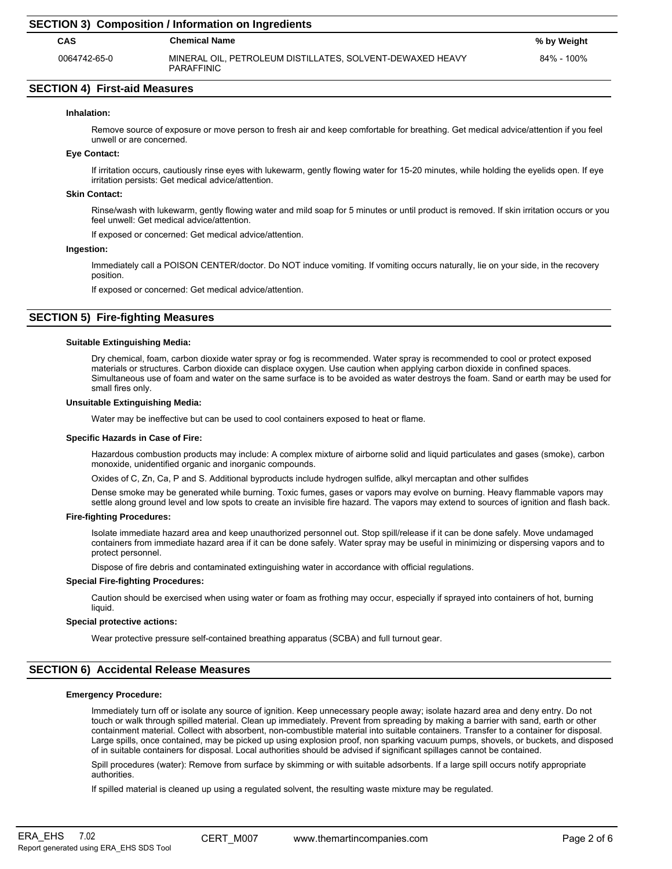## **SECTION 4) First-aid Measures**

## **Inhalation:**

Remove source of exposure or move person to fresh air and keep comfortable for breathing. Get medical advice/attention if you feel unwell or are concerned.

## **Eye Contact:**

If irritation occurs, cautiously rinse eyes with lukewarm, gently flowing water for 15-20 minutes, while holding the eyelids open. If eye irritation persists: Get medical advice/attention.

## **Skin Contact:**

Rinse/wash with lukewarm, gently flowing water and mild soap for 5 minutes or until product is removed. If skin irritation occurs or you feel unwell: Get medical advice/attention.

If exposed or concerned: Get medical advice/attention.

#### **Ingestion:**

Immediately call a POISON CENTER/doctor. Do NOT induce vomiting. If vomiting occurs naturally, lie on your side, in the recovery position.

If exposed or concerned: Get medical advice/attention.

# **SECTION 5) Fire-fighting Measures**

# **Suitable Extinguishing Media:**

Dry chemical, foam, carbon dioxide water spray or fog is recommended. Water spray is recommended to cool or protect exposed materials or structures. Carbon dioxide can displace oxygen. Use caution when applying carbon dioxide in confined spaces. Simultaneous use of foam and water on the same surface is to be avoided as water destroys the foam. Sand or earth may be used for small fires only.

## **Unsuitable Extinguishing Media:**

Water may be ineffective but can be used to cool containers exposed to heat or flame.

#### **Specific Hazards in Case of Fire:**

Hazardous combustion products may include: A complex mixture of airborne solid and liquid particulates and gases (smoke), carbon monoxide, unidentified organic and inorganic compounds.

Oxides of C, Zn, Ca, P and S. Additional byproducts include hydrogen sulfide, alkyl mercaptan and other sulfides

Dense smoke may be generated while burning. Toxic fumes, gases or vapors may evolve on burning. Heavy flammable vapors may settle along ground level and low spots to create an invisible fire hazard. The vapors may extend to sources of ignition and flash back.

#### **Fire-fighting Procedures:**

Isolate immediate hazard area and keep unauthorized personnel out. Stop spill/release if it can be done safely. Move undamaged containers from immediate hazard area if it can be done safely. Water spray may be useful in minimizing or dispersing vapors and to protect personnel.

Dispose of fire debris and contaminated extinguishing water in accordance with official regulations.

#### **Special Fire-fighting Procedures:**

Caution should be exercised when using water or foam as frothing may occur, especially if sprayed into containers of hot, burning liquid.

## **Special protective actions:**

Wear protective pressure self-contained breathing apparatus (SCBA) and full turnout gear.

# **SECTION 6) Accidental Release Measures**

## **Emergency Procedure:**

Immediately turn off or isolate any source of ignition. Keep unnecessary people away; isolate hazard area and deny entry. Do not touch or walk through spilled material. Clean up immediately. Prevent from spreading by making a barrier with sand, earth or other containment material. Collect with absorbent, non-combustible material into suitable containers. Transfer to a container for disposal. Large spills, once contained, may be picked up using explosion proof, non sparking vacuum pumps, shovels, or buckets, and disposed of in suitable containers for disposal. Local authorities should be advised if significant spillages cannot be contained.

Spill procedures (water): Remove from surface by skimming or with suitable adsorbents. If a large spill occurs notify appropriate authorities.

If spilled material is cleaned up using a regulated solvent, the resulting waste mixture may be regulated.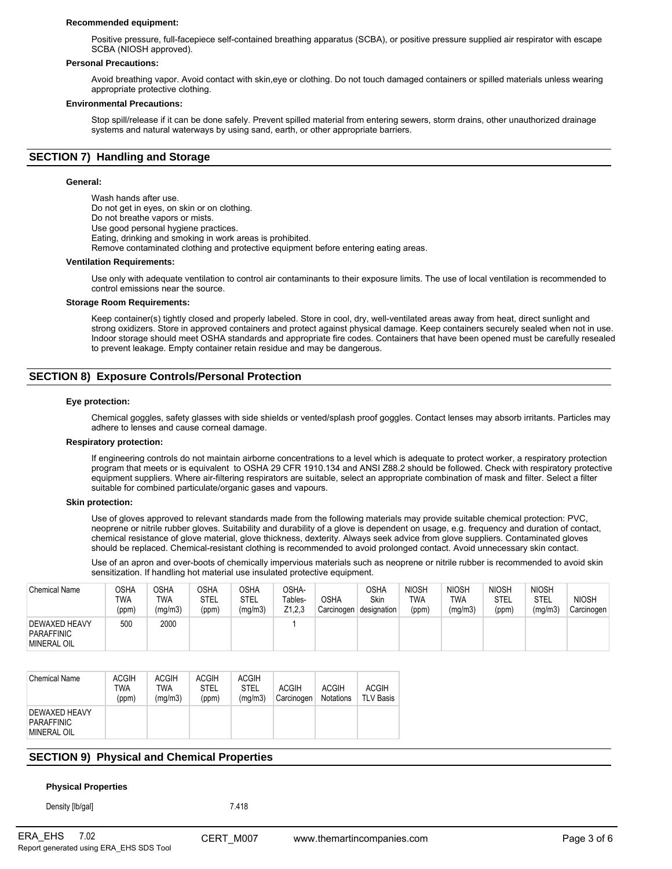## **Recommended equipment:**

Positive pressure, full-facepiece self-contained breathing apparatus (SCBA), or positive pressure supplied air respirator with escape SCBA (NIOSH approved).

#### **Personal Precautions:**

Avoid breathing vapor. Avoid contact with skin,eye or clothing. Do not touch damaged containers or spilled materials unless wearing appropriate protective clothing.

## **Environmental Precautions:**

Stop spill/release if it can be done safely. Prevent spilled material from entering sewers, storm drains, other unauthorized drainage systems and natural waterways by using sand, earth, or other appropriate barriers.

# **SECTION 7) Handling and Storage**

## **General:**

Wash hands after use. Do not get in eyes, on skin or on clothing. Do not breathe vapors or mists. Use good personal hygiene practices. Eating, drinking and smoking in work areas is prohibited. Remove contaminated clothing and protective equipment before entering eating areas. **Ventilation Requirements:**

Use only with adequate ventilation to control air contaminants to their exposure limits. The use of local ventilation is recommended to control emissions near the source.

#### **Storage Room Requirements:**

Keep container(s) tightly closed and properly labeled. Store in cool, dry, well-ventilated areas away from heat, direct sunlight and strong oxidizers. Store in approved containers and protect against physical damage. Keep containers securely sealed when not in use. Indoor storage should meet OSHA standards and appropriate fire codes. Containers that have been opened must be carefully resealed to prevent leakage. Empty container retain residue and may be dangerous.

# **SECTION 8) Exposure Controls/Personal Protection**

#### **Eye protection:**

Chemical goggles, safety glasses with side shields or vented/splash proof goggles. Contact lenses may absorb irritants. Particles may adhere to lenses and cause corneal damage.

#### **Respiratory protection:**

If engineering controls do not maintain airborne concentrations to a level which is adequate to protect worker, a respiratory protection program that meets or is equivalent to OSHA 29 CFR 1910.134 and ANSI Z88.2 should be followed. Check with respiratory protective equipment suppliers. Where air-filtering respirators are suitable, select an appropriate combination of mask and filter. Select a filter suitable for combined particulate/organic gases and vapours.

#### **Skin protection:**

Use of gloves approved to relevant standards made from the following materials may provide suitable chemical protection: PVC, neoprene or nitrile rubber gloves. Suitability and durability of a glove is dependent on usage, e.g. frequency and duration of contact, chemical resistance of glove material, glove thickness, dexterity. Always seek advice from glove suppliers. Contaminated gloves should be replaced. Chemical-resistant clothing is recommended to avoid prolonged contact. Avoid unnecessary skin contact.

Use of an apron and over-boots of chemically impervious materials such as neoprene or nitrile rubber is recommended to avoid skin sensitization. If handling hot material use insulated protective equipment.

| <b>Chemical Name</b>                                     | OSHA<br>TWA<br>(ppm) | <b>OSHA</b><br>TWA<br>(mg/m3) | <b>OSHA</b><br>STEL<br>(ppm) | OSHA<br>STEL<br>(mg/m3) | OSHA-<br>Tables-<br>Z1,2,3 | <b>OSHA</b><br>Carcinogen | OSHA<br>Skin<br>designation | <b>NIOSH</b><br>TWA<br>(ppm) | <b>NIOSH</b><br>TWA<br>(mg/m3) | <b>NIOSH</b><br>STEL<br>(ppm) | <b>NIOSH</b><br><b>STEL</b><br>(mg/m3) | <b>NIOSH</b><br>Carcinogen |
|----------------------------------------------------------|----------------------|-------------------------------|------------------------------|-------------------------|----------------------------|---------------------------|-----------------------------|------------------------------|--------------------------------|-------------------------------|----------------------------------------|----------------------------|
| <b>DEWAXED HEAVY</b><br>PARAFFINIC<br><b>MINERAL OIL</b> | 500                  | 2000                          |                              |                         |                            |                           |                             |                              |                                |                               |                                        |                            |

| <b>Chemical Name</b>                              | <b>ACGIH</b><br>TWA<br>(ppm) | <b>ACGIH</b><br>TWA<br>(mq/m3) | <b>ACGIH</b><br><b>STEL</b><br>(ppm) | <b>ACGIH</b><br><b>STEL</b><br>(mq/m3) | <b>ACGIH</b><br>Carcinogen | <b>ACGIH</b><br><b>Notations</b> | <b>ACGIH</b><br><b>TLV Basis</b> |
|---------------------------------------------------|------------------------------|--------------------------------|--------------------------------------|----------------------------------------|----------------------------|----------------------------------|----------------------------------|
| DEWAXED HEAVY<br><b>PARAFFINIC</b><br>MINERAL OIL |                              |                                |                                      |                                        |                            |                                  |                                  |

# **SECTION 9) Physical and Chemical Properties**

## **Physical Properties**

Density [lb/gal] 7.418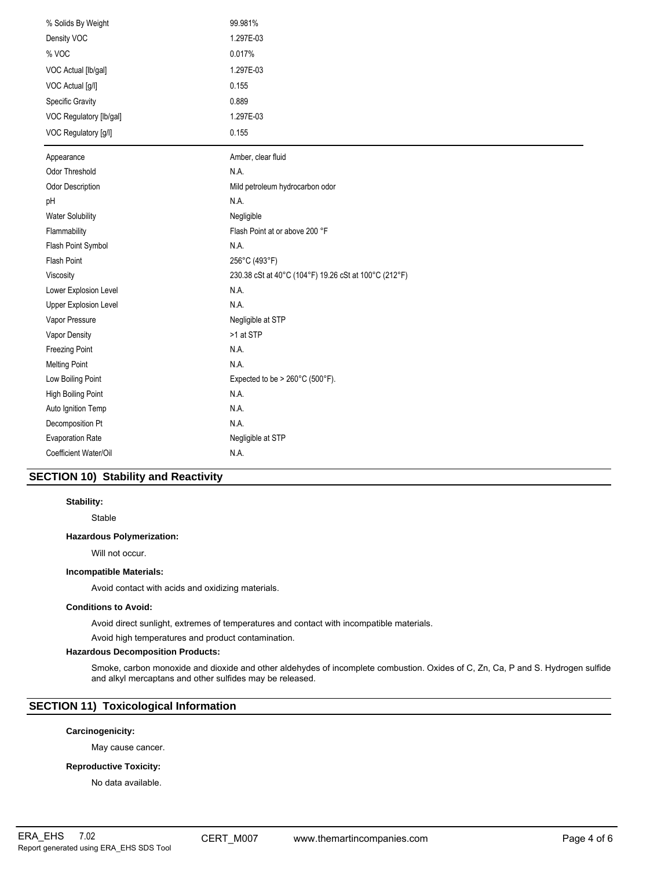| % Solids By Weight        | 99.981%                                               |  |  |  |
|---------------------------|-------------------------------------------------------|--|--|--|
| Density VOC               | 1.297E-03                                             |  |  |  |
| % VOC                     | 0.017%                                                |  |  |  |
| VOC Actual [lb/gal]       | 1.297E-03                                             |  |  |  |
| VOC Actual [g/l]          | 0.155                                                 |  |  |  |
| Specific Gravity          | 0.889                                                 |  |  |  |
| VOC Regulatory [lb/gal]   | 1.297E-03                                             |  |  |  |
| VOC Regulatory [g/l]      | 0.155                                                 |  |  |  |
| Appearance                | Amber, clear fluid                                    |  |  |  |
| <b>Odor Threshold</b>     | N.A.                                                  |  |  |  |
| Odor Description          | Mild petroleum hydrocarbon odor                       |  |  |  |
| pH                        | N.A.                                                  |  |  |  |
| <b>Water Solubility</b>   | Negligible                                            |  |  |  |
| Flammability              | Flash Point at or above 200 °F                        |  |  |  |
| Flash Point Symbol        | N.A.                                                  |  |  |  |
| <b>Flash Point</b>        | 256°C (493°F)                                         |  |  |  |
| Viscosity                 | 230.38 cSt at 40°C (104°F) 19.26 cSt at 100°C (212°F) |  |  |  |
| Lower Explosion Level     | N.A.                                                  |  |  |  |
| Upper Explosion Level     | N.A.                                                  |  |  |  |
| Vapor Pressure            | Negligible at STP                                     |  |  |  |
| Vapor Density             | >1 at STP                                             |  |  |  |
| <b>Freezing Point</b>     | N.A.                                                  |  |  |  |
| <b>Melting Point</b>      | N.A.                                                  |  |  |  |
| Low Boiling Point         | Expected to be > $260^{\circ}$ C (500°F).             |  |  |  |
| <b>High Boiling Point</b> | N.A.                                                  |  |  |  |
| Auto Ignition Temp        | N.A.                                                  |  |  |  |
| Decomposition Pt          | N.A.                                                  |  |  |  |
| <b>Evaporation Rate</b>   | Negligible at STP                                     |  |  |  |
| Coefficient Water/Oil     | N.A.                                                  |  |  |  |

# **SECTION 10) Stability and Reactivity**

# **Stability:**

Stable

# **Hazardous Polymerization:**

Will not occur.

# **Incompatible Materials:**

Avoid contact with acids and oxidizing materials.

## **Conditions to Avoid:**

Avoid direct sunlight, extremes of temperatures and contact with incompatible materials.

Avoid high temperatures and product contamination.

# **Hazardous Decomposition Products:**

Smoke, carbon monoxide and dioxide and other aldehydes of incomplete combustion. Oxides of C, Zn, Ca, P and S. Hydrogen sulfide and alkyl mercaptans and other sulfides may be released.

# **SECTION 11) Toxicological Information**

## **Carcinogenicity:**

May cause cancer.

# **Reproductive Toxicity:**

No data available.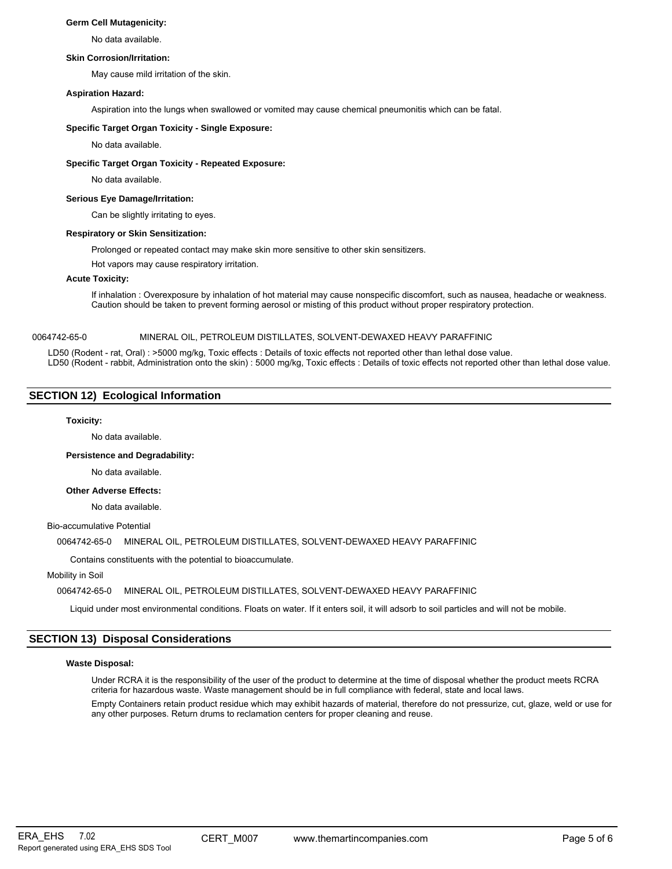# **Germ Cell Mutagenicity:**

No data available.

## **Skin Corrosion/Irritation:**

May cause mild irritation of the skin.

## **Aspiration Hazard:**

Aspiration into the lungs when swallowed or vomited may cause chemical pneumonitis which can be fatal.

# **Specific Target Organ Toxicity - Single Exposure:**

No data available.

# **Specific Target Organ Toxicity - Repeated Exposure:**

No data available.

## **Serious Eye Damage/Irritation:**

Can be slightly irritating to eyes.

## **Respiratory or Skin Sensitization:**

Prolonged or repeated contact may make skin more sensitive to other skin sensitizers.

Hot vapors may cause respiratory irritation.

## **Acute Toxicity:**

If inhalation : Overexposure by inhalation of hot material may cause nonspecific discomfort, such as nausea, headache or weakness. Caution should be taken to prevent forming aerosol or misting of this product without proper respiratory protection.

# 0064742-65-0 MINERAL OIL, PETROLEUM DISTILLATES, SOLVENT-DEWAXED HEAVY PARAFFINIC

LD50 (Rodent - rat, Oral) : >5000 mg/kg, Toxic effects : Details of toxic effects not reported other than lethal dose value. LD50 (Rodent - rabbit, Administration onto the skin) : 5000 mg/kg, Toxic effects : Details of toxic effects not reported other than lethal dose value.

# **SECTION 12) Ecological Information**

# **Toxicity:**

No data available.

## **Persistence and Degradability:**

No data available.

# **Other Adverse Effects:**

No data available.

# Bio-accumulative Potential

# 0064742-65-0 MINERAL OIL, PETROLEUM DISTILLATES, SOLVENT-DEWAXED HEAVY PARAFFINIC

Contains constituents with the potential to bioaccumulate.

Mobility in Soil

# 0064742-65-0 MINERAL OIL, PETROLEUM DISTILLATES, SOLVENT-DEWAXED HEAVY PARAFFINIC

Liquid under most environmental conditions. Floats on water. If it enters soil, it will adsorb to soil particles and will not be mobile.

# **SECTION 13) Disposal Considerations**

## **Waste Disposal:**

Under RCRA it is the responsibility of the user of the product to determine at the time of disposal whether the product meets RCRA criteria for hazardous waste. Waste management should be in full compliance with federal, state and local laws.

Empty Containers retain product residue which may exhibit hazards of material, therefore do not pressurize, cut, glaze, weld or use for any other purposes. Return drums to reclamation centers for proper cleaning and reuse.